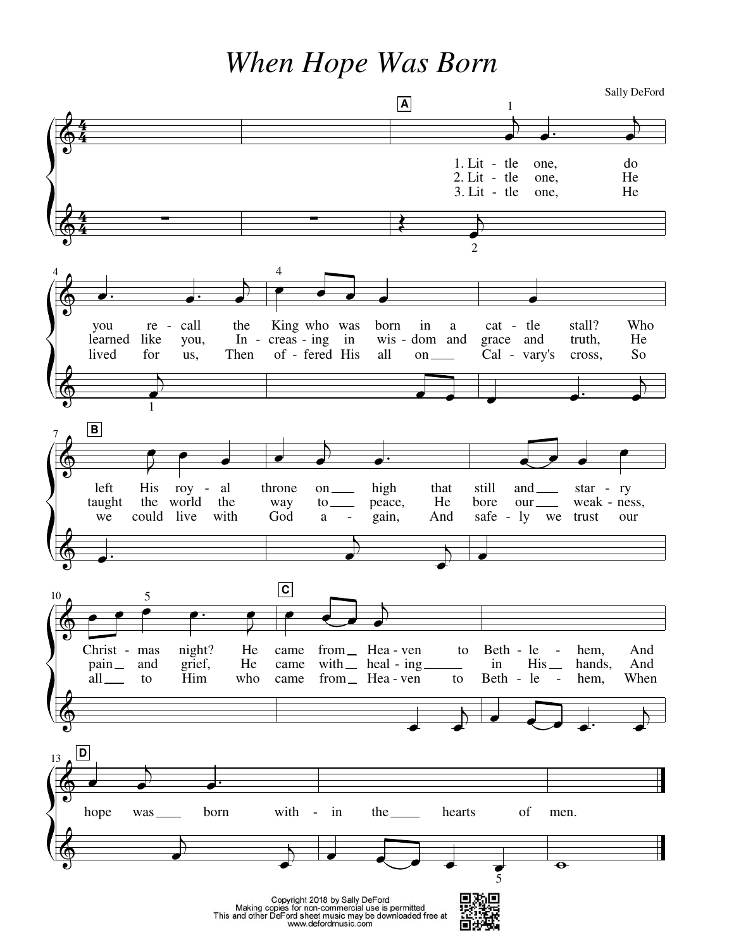When Hope Was Born